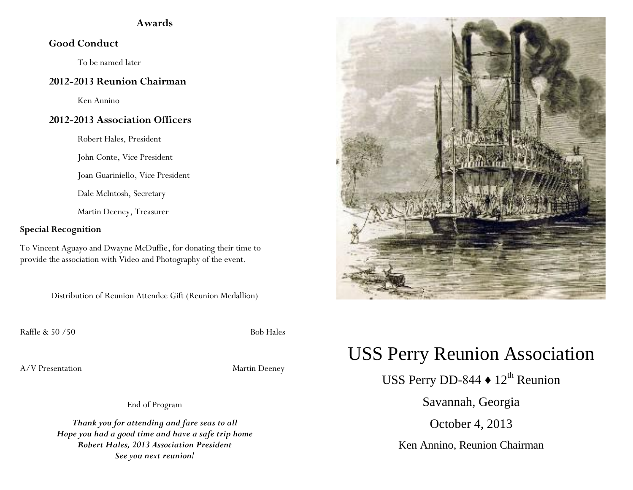## **Awards**

# **Good Conduct**

To be named later

#### **2012-2013 Reunion Chairman**

Ken Annino

# **2012-2013 Association Officers**

Robert Hales, President

John Conte, Vice President

Joan Guariniello, Vice President

Dale McIntosh, Secretary

Martin Deeney, Treasurer

#### **Special Recognition**

To Vincent Aguayo and Dwayne McDuffie, for donating their time to provide the association with Video and Photography of the event.

Distribution of Reunion Attendee Gift (Reunion Medallion)

Raffle & 50 /50 Bob Hales

A/V Presentation Martin Deeney

End of Program

*Thank you for attending and fare seas to all Hope you had a good time and have a safe trip home Robert Hales, 2013 Association President See you next reunion!*



# USS Perry Reunion Association

USS Perry DD-844  $\blacklozenge$  12<sup>th</sup> Reunion

Savannah, Georgia

October 4, 2013

Ken Annino, Reunion Chairman